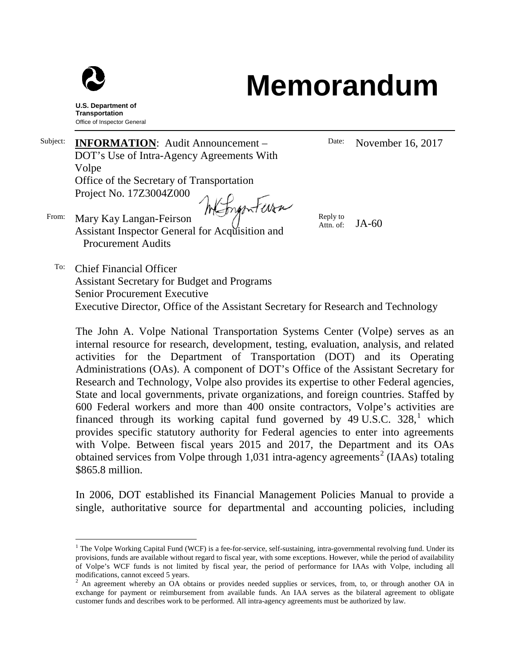

## **Memorandum**

**U.S. Department of Transportation** Office of Inspector General

Subject: **INFORMATION**: Audit Announcement – DOT's Use of Intra-Agency Agreements With Volpe Office of the Secretary of Transportation Project No. 17Z3004Z000 Webiganteria

From: Mary Kay Langan-Feirson Assistant Inspector General for Acquisition and Procurement Audits

Date: November 16, 2017

Reply to Attn. of:  $JA-60$ 

To: Chief Financial Officer Assistant Secretary for Budget and Programs Senior Procurement Executive Executive Director, Office of the Assistant Secretary for Research and Technology

The John A. Volpe National Transportation Systems Center (Volpe) serves as an internal resource for research, development, testing, evaluation, analysis, and related activities for the Department of Transportation (DOT) and its Operating Administrations (OAs). A component of DOT's Office of the Assistant Secretary for Research and Technology, Volpe also provides its expertise to other Federal agencies, State and local governments, private organizations, and foreign countries. Staffed by 600 Federal workers and more than 400 onsite contractors, Volpe's activities are financed through its working capital fund governed by  $49 \text{ U.S.C. } 328$ , which provides specific statutory authority for Federal agencies to enter into agreements with Volpe. Between fiscal years 2015 and 2017, the Department and its OAs obtained services from Volpe through 1,031 intra-agency agreements<sup>[2](#page-0-1)</sup> (IAAs) totaling \$865.8 million.

In 2006, DOT established its Financial Management Policies Manual to provide a single, authoritative source for departmental and accounting policies, including

<span id="page-0-0"></span> $<sup>1</sup>$  The Volpe Working Capital Fund (WCF) is a fee-for-service, self-sustaining, intra-governmental revolving fund. Under its</sup> provisions, funds are available without regard to fiscal year, with some exceptions. However, while the period of availability of Volpe's WCF funds is not limited by fiscal year, the period of performance for IAAs with Volpe, including all

<span id="page-0-1"></span><sup>&</sup>lt;sup>2</sup> An agreement whereby an OA obtains or provides needed supplies or services, from, to, or through another OA in exchange for payment or reimbursement from available funds. An IAA serves as the bilateral agreement to obligate customer funds and describes work to be performed. All intra-agency agreements must be authorized by law.